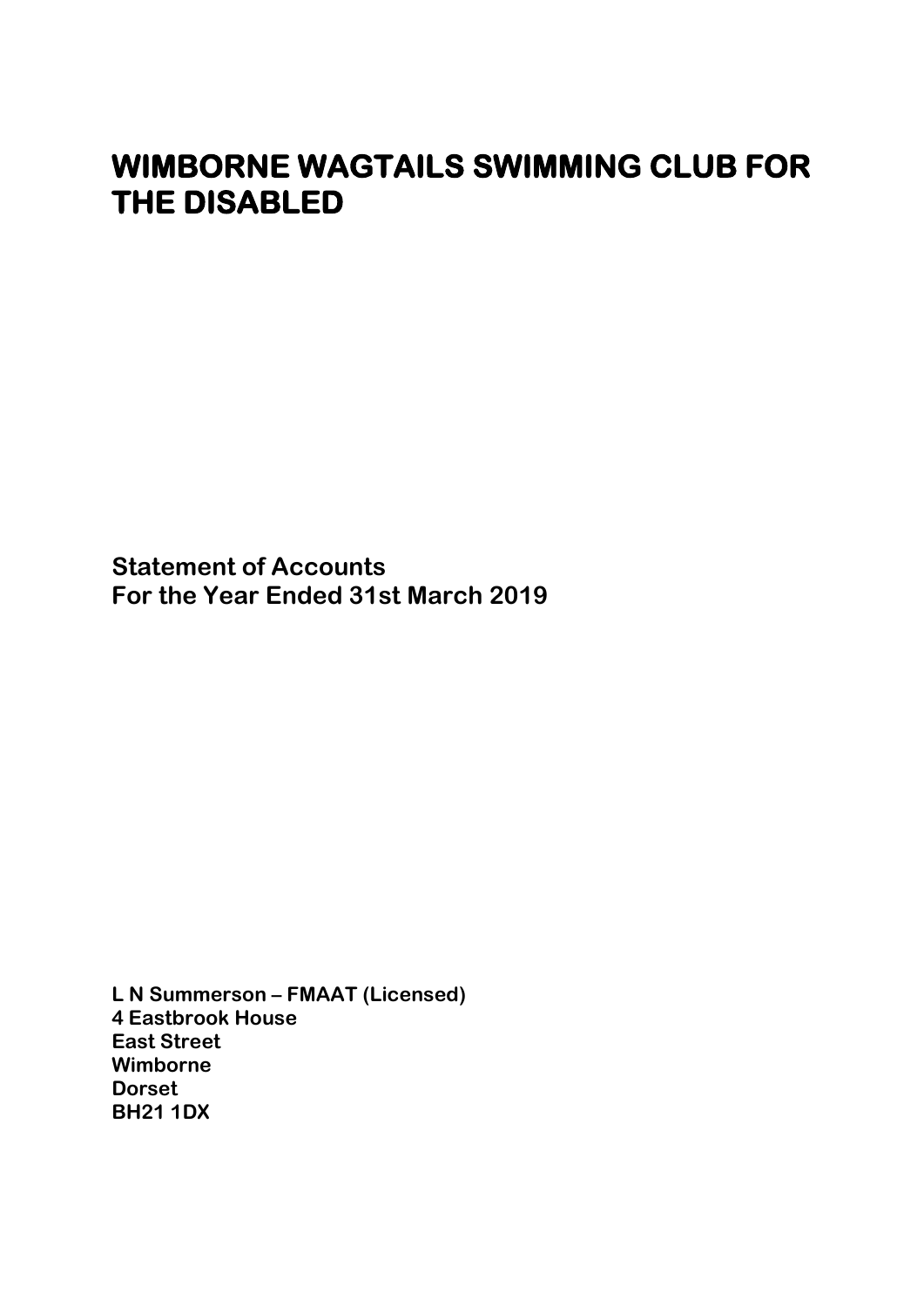**Statement of Accounts For the Year Ended 31st March 2019**

**L N Summerson – FMAAT (Licensed) 4 Eastbrook House East Street Wimborne Dorset BH21 1DX**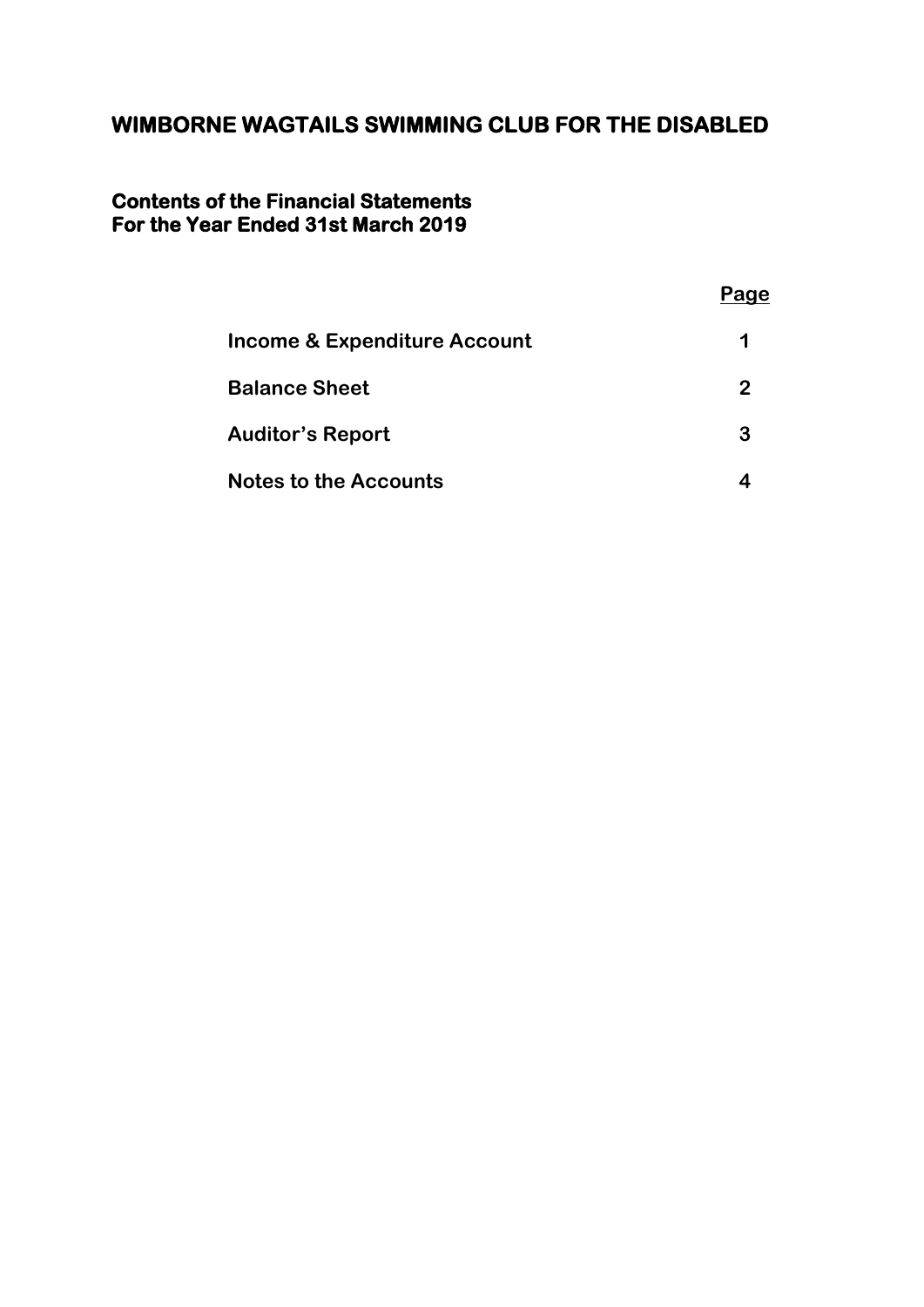### **Contents of the Financial Statements For the Year Ended 31st March 2019**

|                                         | Page |
|-----------------------------------------|------|
| <b>Income &amp; Expenditure Account</b> |      |
| <b>Balance Sheet</b>                    | 2    |
| <b>Auditor's Report</b>                 | 3    |
| <b>Notes to the Accounts</b>            |      |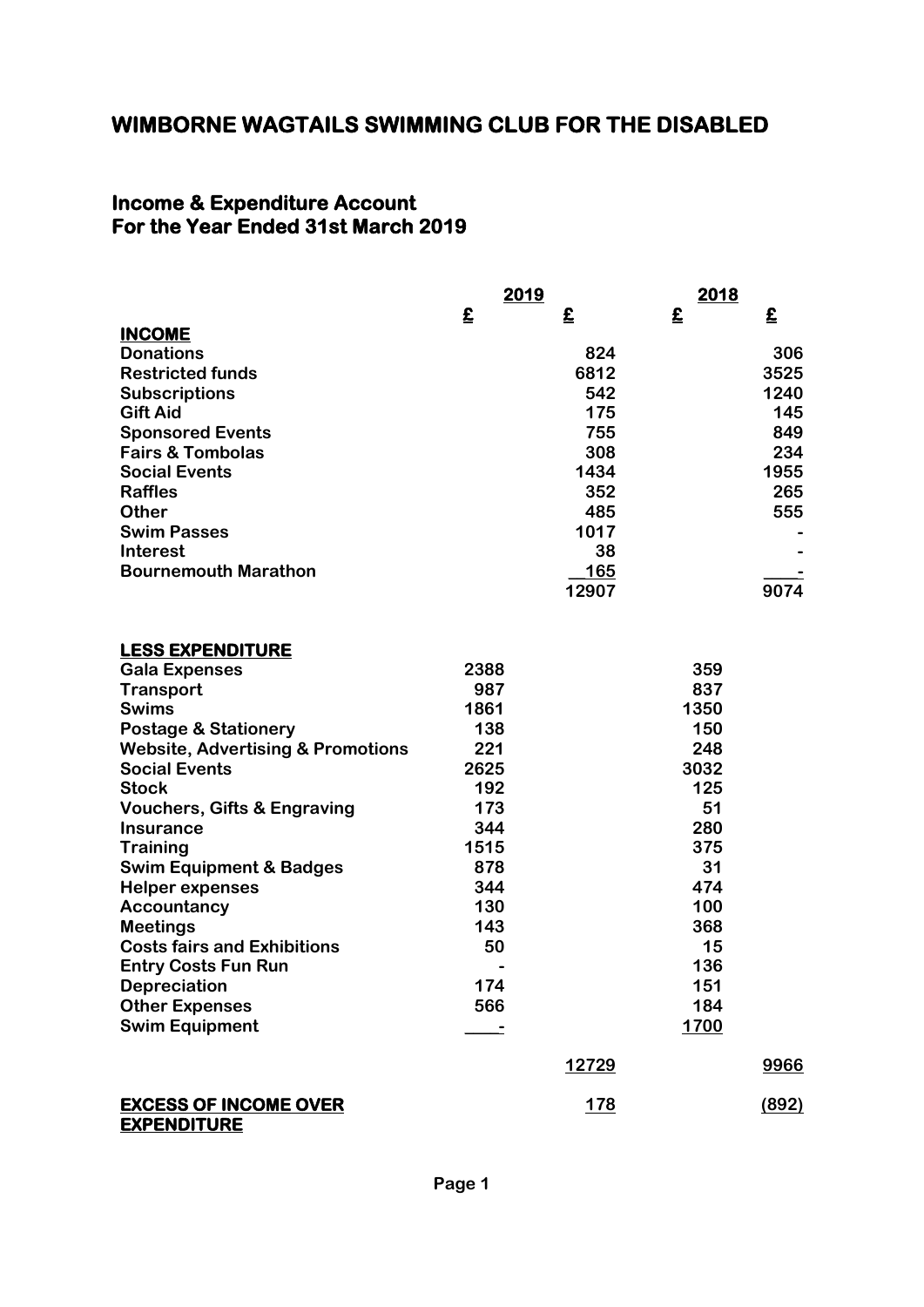#### **Income & Expenditure Account For the Year Ended 31st March 2019**

|                                                    | 2019 |            | 2018 |       |
|----------------------------------------------------|------|------------|------|-------|
|                                                    | £    | £          | £    | £     |
| <b>INCOME</b>                                      |      |            |      |       |
| <b>Donations</b>                                   |      | 824        |      | 306   |
| <b>Restricted funds</b>                            |      | 6812       |      | 3525  |
| <b>Subscriptions</b>                               |      | 542        |      | 1240  |
| <b>Gift Aid</b>                                    |      | 175        |      | 145   |
| <b>Sponsored Events</b>                            |      | 755        |      | 849   |
| <b>Fairs &amp; Tombolas</b>                        |      | 308        |      | 234   |
| <b>Social Events</b>                               |      | 1434       |      | 1955  |
| <b>Raffles</b>                                     |      | 352        |      | 265   |
| <b>Other</b>                                       |      | 485        |      | 555   |
| <b>Swim Passes</b>                                 |      | 1017       |      |       |
| <b>Interest</b>                                    |      | 38         |      |       |
| <b>Bournemouth Marathon</b>                        |      | <b>165</b> |      |       |
|                                                    |      | 12907      |      | 9074  |
|                                                    |      |            |      |       |
| <b>LESS EXPENDITURE</b>                            |      |            |      |       |
| <b>Gala Expenses</b>                               | 2388 |            | 359  |       |
| <b>Transport</b>                                   | 987  |            | 837  |       |
| <b>Swims</b>                                       | 1861 |            | 1350 |       |
| <b>Postage &amp; Stationery</b>                    | 138  |            | 150  |       |
| <b>Website, Advertising &amp; Promotions</b>       | 221  |            | 248  |       |
| <b>Social Events</b>                               | 2625 |            | 3032 |       |
| <b>Stock</b>                                       | 192  |            | 125  |       |
| <b>Vouchers, Gifts &amp; Engraving</b>             | 173  |            | 51   |       |
| <b>Insurance</b>                                   | 344  |            | 280  |       |
| <b>Training</b>                                    | 1515 |            | 375  |       |
| <b>Swim Equipment &amp; Badges</b>                 | 878  |            | 31   |       |
| <b>Helper expenses</b>                             | 344  |            | 474  |       |
| Accountancy                                        | 130  |            | 100  |       |
| <b>Meetings</b>                                    | 143  |            | 368  |       |
| <b>Costs fairs and Exhibitions</b>                 | 50   |            | 15   |       |
| <b>Entry Costs Fun Run</b>                         |      |            | 136  |       |
| <b>Depreciation</b>                                | 174  |            | 151  |       |
| <b>Other Expenses</b>                              | 566  |            | 184  |       |
| <b>Swim Equipment</b>                              |      |            | 1700 |       |
|                                                    |      |            |      |       |
|                                                    |      | 12729      |      | 9966  |
| <b>EXCESS OF INCOME OVER</b><br><b>EXPENDITURE</b> |      | <u>178</u> |      | (892) |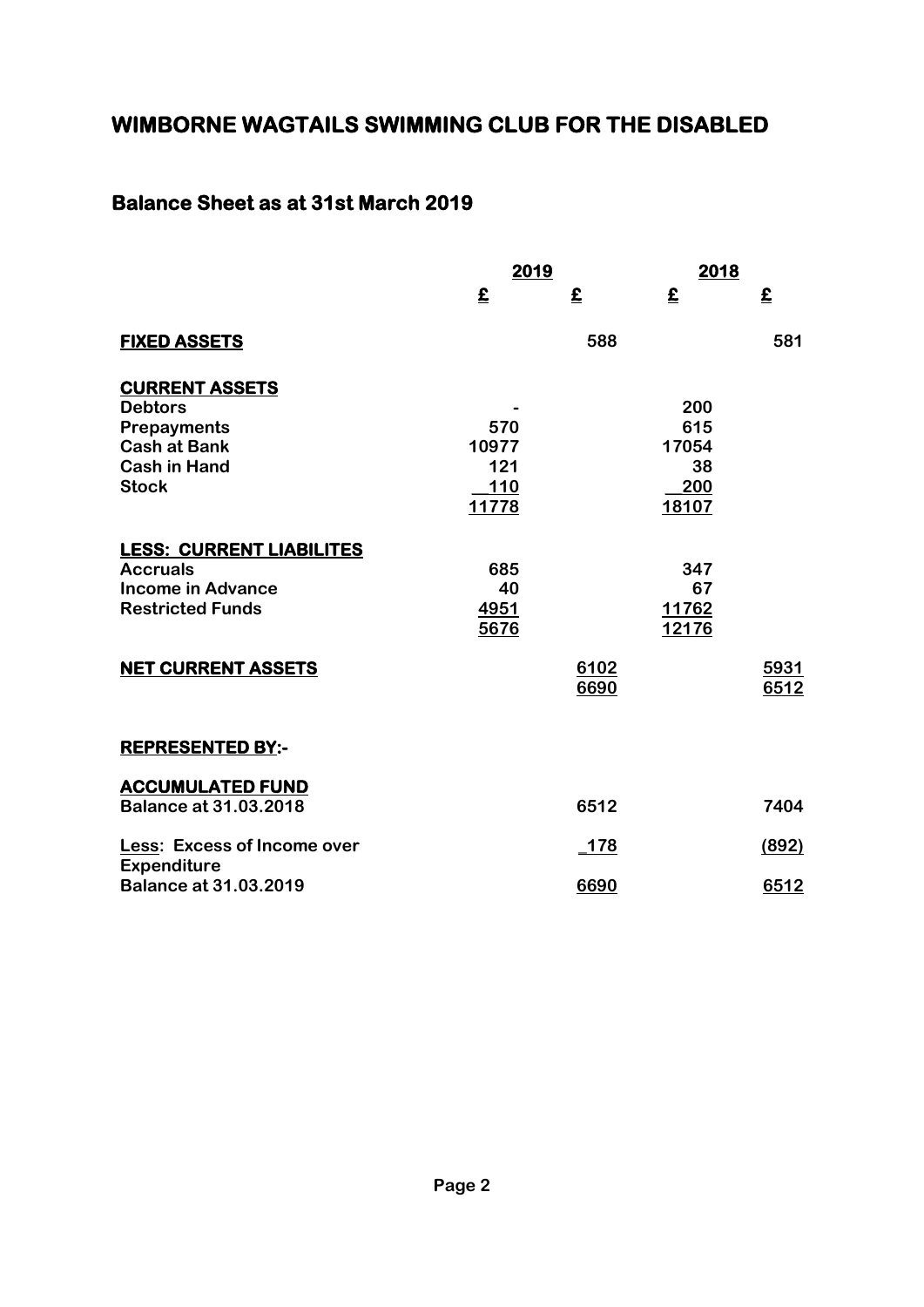### **Balance Sheet as at 31st March 2019**

|                                    | 2019         |                          | 2018  |       |
|------------------------------------|--------------|--------------------------|-------|-------|
|                                    | £            | $\boldsymbol{\hat{\Xi}}$ | £     | £     |
| <b>FIXED ASSETS</b>                |              | 588                      |       | 581   |
| <b>CURRENT ASSETS</b>              |              |                          |       |       |
| <b>Debtors</b>                     |              |                          | 200   |       |
| <b>Prepayments</b>                 | 570          |                          | 615   |       |
| <b>Cash at Bank</b>                | 10977        |                          | 17054 |       |
| <b>Cash in Hand</b>                | 121          |                          | 38    |       |
| <b>Stock</b>                       | <b>110</b>   |                          | 200   |       |
|                                    | <u>11778</u> |                          | 18107 |       |
| <b>LESS: CURRENT LIABILITES</b>    |              |                          |       |       |
| <b>Accruals</b>                    | 685          |                          | 347   |       |
| <b>Income in Advance</b>           | 40           |                          | 67    |       |
| <b>Restricted Funds</b>            | 4951         |                          | 11762 |       |
|                                    | 5676         |                          | 12176 |       |
| <b>NET CURRENT ASSETS</b>          |              | 6102                     |       | 5931  |
|                                    |              | 6690                     |       | 6512  |
|                                    |              |                          |       |       |
| <b>REPRESENTED BY:-</b>            |              |                          |       |       |
| <b>ACCUMULATED FUND</b>            |              |                          |       |       |
| <b>Balance at 31.03.2018</b>       |              | 6512                     |       | 7404  |
| <b>Less: Excess of Income over</b> |              | $-178$                   |       | (892) |
| <b>Expenditure</b>                 |              |                          |       |       |
| <b>Balance at 31.03.2019</b>       |              | 6690                     |       | 6512  |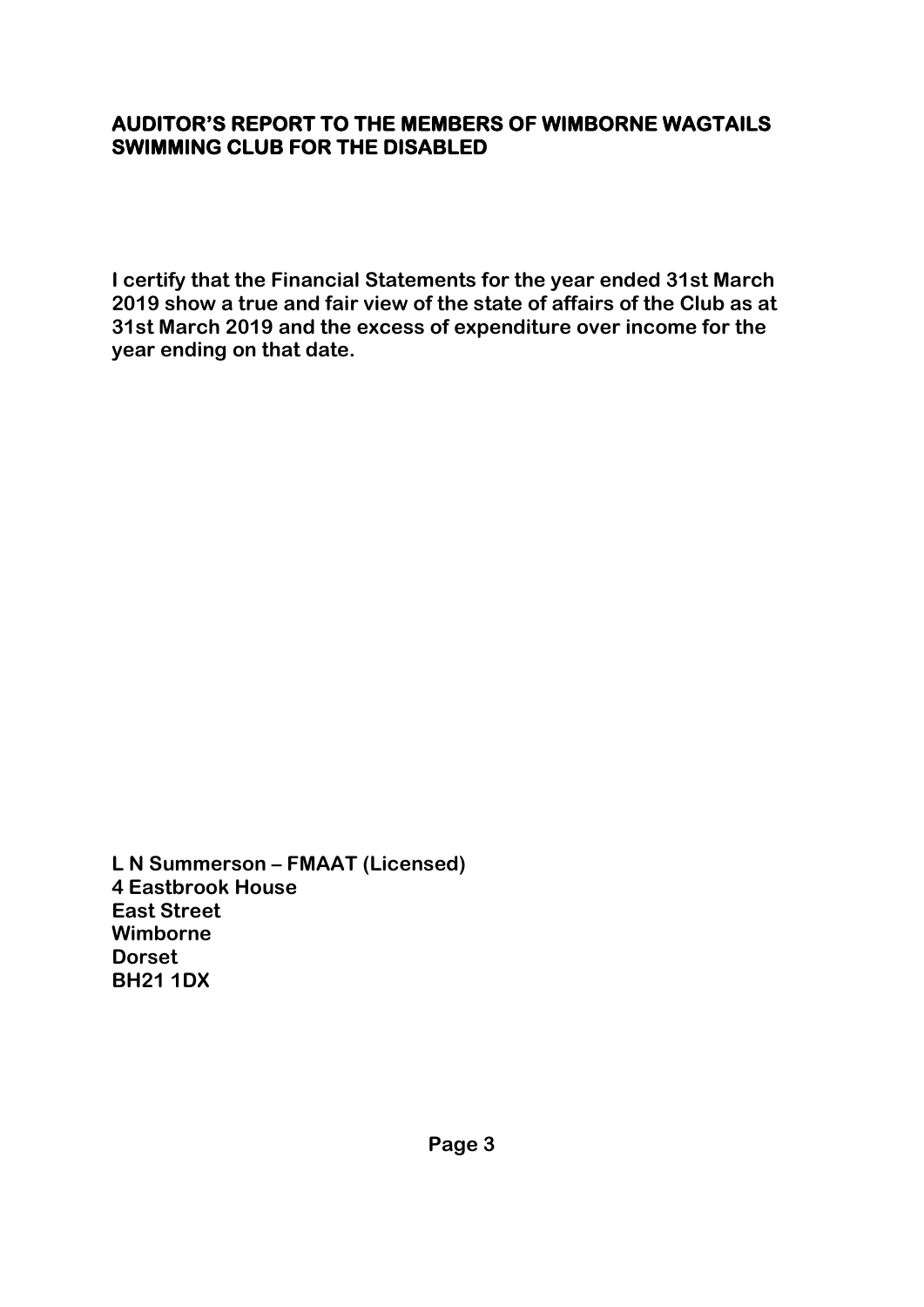### **AUDITOR'S REPORT TO THE MEMBERS OF WIMBORNE WAGTAILS SWIMMING CLUB FOR THE DISABLED**

**I certify that the Financial Statements for the year ended 31st March 2019 show a true and fair view of the state of affairs of the Club as at 31st March 2019 and the excess of expenditure over income for the year ending on that date.**

**L N Summerson – FMAAT (Licensed) 4 Eastbrook House East Street Wimborne Dorset BH21 1DX**